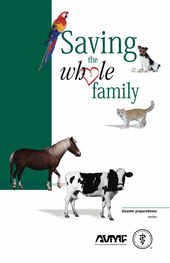



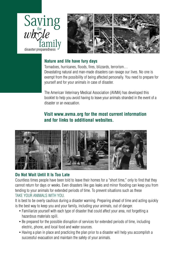

series



### **Nature and life have fury days**

Tornadoes, hurricanes, floods, fires, blizzards, terrorism… Devastating natural and man-made disasters can ravage our lives. No one is exempt from the possibility of being affected personally. You need to prepare for yourself and for your animals in case of disaster.

The American Veterinary Medical Association (AVMA) has developed this booklet to help you avoid having to leave your animals stranded in the event of a disaster or an evacuation.

### **Visit www.avma.org for the most current information and for links to additional websites.**



### **Do Not Wait Until It Is Too Late**

Countless times people have been told to leave their homes for a "short time," only to find that they cannot return for days or weeks. Even disasters like gas leaks and minor flooding can keep you from tending to your animals for extended periods of time. To prevent situations such as these take your animals with you.

It is best to be overly cautious during a disaster warning. Preparing ahead of time and acting quickly is the best way to keep you and your family, including your animals, out of danger.

- Familiarize yourself with each type of disaster that could affect your area, not forgetting a hazardous materials spill.
- Be prepared for the possible disruption of services for extended periods of time, including electric, phone, and local food and water sources.
- Having a plan in place and practicing the plan prior to a disaster will help you accomplish a successful evacuation and maintain the safety of your animals.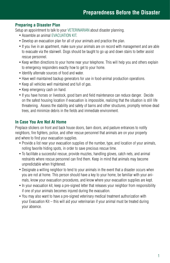### **Preparing a Disaster Plan**

Setup an appointment to talk to your VETERINARIAN about disaster planning.

- Assemble an animal EVACUATION KIT.
- Develop an evacuation plan for all of your animals and practice the plan.
- If you live in an apartment, make sure your animals are on record with management and are able to evacuate via the stairwell. Dogs should be taught to go up and down stairs to better assist rescue personnel.
- Keep written directions to your home near your telephone. This will help you and others explain to emergency responders exactly how to get to your home.
- Identify alternate sources of food and water.
- Have well maintained backup generators for use in food-animal production operations.
- Keep all vehicles well maintained and full of gas.
- Keep emergency cash on hand.
- If you have horses or livestock, good barn and field maintenance can reduce danger. Decide on the safest housing location if evacuation is impossible, realizing that the situation is still life threatening. Assess the stability and safety of barns and other structures, promptly remove dead trees, and minimize debris in the fields and immediate environment.

### **In Case You Are Not At Home**

Preplace stickers on front and back house doors, barn doors, and pasture entrances to notify neighbors, fire fighters, police, and other rescue personnel that animals are on your property and where to find your evacuation supplies.

- Provide a list near your evacuation supplies of the number, type, and location of your animals, noting favorite hiding spots, in order to save precious rescue time.
- To facilitate a successful rescue, provide muzzles, handling gloves, catch nets, and animal restraints where rescue personnel can find them. Keep in mind that animals may become unpredictable when frightened.
- Designate a willing neighbor to tend to your animals in the event that a disaster occurs when you are not at home. This person should have a key to your home, be familiar with your animals, know your evacuation procedures, and know where your evacuation supplies are kept.
- In your evacuation kit, keep a pre-signed letter that releases your neighbor from responsibility if one of your animals becomes injured during the evacuation.
- You may also want to have a pre-signed veterinary medical treatment authorization with your Evacuation Kit – this will aid your veterinarian if your animal must be treated during your absence.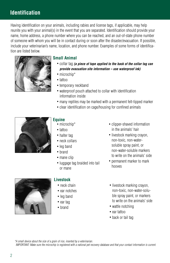## **Identification**

Having identification on your animals, including rabies and license tags, if applicable, may help reunite you with your animal(s) in the event that you are separated. Identification should provide your name, home address, a phone number where you can be reached, and an out-of-state phone number of someone with whom you will be in contact during or soon after the disaster/evacuation. If possible, include your veterinarian's name, location, and phone number. Examples of some forms of identification are listed below.



### **Small Animal**

- collar tag *(a piece of tape applied to the back of the collar tag can provide evacuation site information – use waterproof ink)*
- microchip\*
- tattoo
- temporary neckband
- waterproof pouch attached to collar with identification information inside
- many reptiles may be marked with a permanent felt-tipped marker
- clear identification on cage/housing for confined animals



### **Equine**

- microchip\*
- tattoo
- halter tag
- neck collars
- leg band
- brand
- mane clip
- luggage tag braided into tail or mane
- clipper-shaved information in the animals' hair
- livestock marking crayon, non-toxic, non-watersoluble spray paint, or non-water-soluble markers to write on the animals' side
- permanent marker to mark hooves



### **Livestock**

- neck chain
- ear notches
- leg band
- ear tag
- brand
- livestock marking crayon, non-toxic, non-water-soluble spray paint, or markers to write on the animals' side
- wattle notching
- ear tattoo
- back or tail tag

*\*A small device about the size of a grain of rice, inserted by a veterinarian.*

IMPORTANT: Make sure the microchip is registered with a national pet recovery database and that your contact information is current.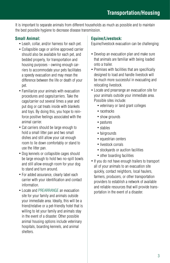It is important to separate animals from different households as much as possible and to maintain the best possible hygiene to decrease disease transmission.

### **Small Animal:**

- Leash, collar, and/or harness for each pet.
- Collapsible cage or airline approved carrier should also be available for each pet, and bedded properly, for transportation and housing purposes - owning enough carriers to accommodate your pets facilitates a speedy evacuation and may mean the difference between the life or death of your pet.
- Familiarize your animals with evacuation procedures and cages/carriers. Take the cage/carrier out several times a year and put dog or cat treats inside with blankets and toys. By doing this, you hope to reinforce positive feelings associated with the animal carrier.
- Cat carriers should be large enough to hold a small litter pan and two small dishes and still allow your cat enough room to lie down comfortably or stand to use the litter pan.
- Dog kennels or collapsible cages should be large enough to hold two no-spill bowls and still allow enough room for your dog to stand and turn around.
- For added assurance, clearly label each carrier with your identification and contact information.
- Locate and PREARRANGE an evacuation site for your family and animals outside your immediate area. Ideally, this will be a friend/relative or a pet-friendly hotel that is willing to let your family and animals stay in the event of a disaster. Other possible animal housing options include veterinary hospitals, boarding kennels, and animal shelters.

### **Equine/Livestock:**

Equine/livestock evacuation can be challenging:

- Develop an evacuation plan and make sure that animals are familiar with being loaded onto a trailer.
- Premises with facilities that are specifically designed to load and handle livestock will be much more successful in evacuating and relocating livestock.
- Locate and prearrange an evacuation site for your animals outside your immediate area. Possible sites include:
	- veterinary or land grant colleges
	- racetracks
	- show grounds
	- pastures
	- stables
	- fairgrounds
	- equestrian centers
	- livestock corrals
	- stockyards or auction facilities
	- other boarding facilities
- If you do not have enough trailers to transport all of your animals to an evacuation site quickly, contact neighbors, local haulers, farmers, producers, or other transportation providers to establish a network of available and reliable resources that will provide transportation in the event of a disaster.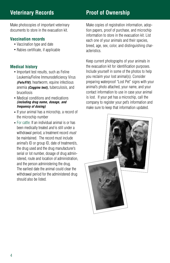# **Veterinary Records Proof of Ownership**

Make photocopies of important veterinary documents to store in the evacuation kit.

### **Vaccination records**

- Vaccination type and date
- Rabies certificate, if applicable

### **Medical history**

- Important test results, such as Feline Leukemia/Feline Immunodeficiency Virus *(Felv/FIV)*, heartworm, equine infectious anemia *(Coggins test),* tuberculosis, and brucellosis
- Medical conditions and medications *(including drug name, dosage, and frequency of dosing)*
- If your animal has a microchip, a record of the microchip number
- For cattle: If an individual animal is or has been medically treated *and* is still under a withdrawal period, a treatment record *must* be maintained. The record must include animal's ID or group ID, date of treatment/s, the drug used and the drug manufacturer's serial or lot number, dosage of drug administered, route and location of administration, and the person administering the drug. The earliest date the animal could clear the withdrawal period for the administered drug should also be listed.

Make copies of registration information, adoption papers, proof of purchase, and microchip information to store in the evacuation kit. List each one of your animals and their species, breed, age, sex, color, and distinguishing characteristics.

Keep current photographs of your animals in the evacuation kit for identification purposes. Include yourself in some of the photos to help you reclaim your lost animal(s). Consider preparing waterproof "Lost Pet" signs with your animal's photo attached, your name, and your contact information to use in case your animal is lost. If your pet has a microchip, call the company to register your pet's information and make sure to keep that information updated.

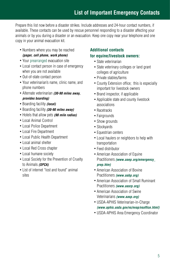# **List of Important Emergency Contacts**

Prepare this list now before a disaster strikes. Include addresses and 24-hour contact numbers, if available. These contacts can be used by rescue personnel responding to a disaster affecting your animals or by you during a disaster or an evacuation. Keep one copy near your telephone and one copy in your animal evacuation kit.

- Numbers where you may be reached *(pager, cell phone, work phone)*
- Your prearranged evacuation site
- Local contact person in case of emergency when you are not available
- Out-of-state contact person
- Your veterinarian's name, clinic name, and phone numbers
- Alternate veterinarian *(30-90 miles away, provides boarding)*
- Boarding facility *(local)*
- Boarding facility *(30-90 miles away)*
- Hotels that allow pets *(90 mile radius)*
- Local Animal Control
- Local Police Department
- Local Fire Department
- Local Public Health Department
- Local animal shelter
- Local Red Cross chapter
- Local humane society
- Local Society for the Prevention of Cruelty to Animals *(SPCA)*
- List of internet "lost and found" animal sites

### **Additional contacts for equine/livestock owners:**

- State veterinarian
- State veterinary colleges or land grant colleges of agriculture
- Private stables/farms
- County Extension office; this is especially important for livestock owners
- Brand inspector, if applicable
- Applicable state and county livestock associations
- Racetracks
- Fairgrounds
- Show grounds
- Stockyards
- Equestrian centers
- Local haulers or neighbors to help with transportation
- Feed distributor
- American Association of Equine Practitioners *(www.aaep.org/emergency\_ prep.htm)*
- American Association of Bovine Practitioners *(www.aabp.org)*
- American Association of Small Ruminant Practitioners *(www.aasrp.org)*
- American Association of Swine Veterinarians *(www.aasp.org)*
- USDA-APHIS Veterinarian-in-Charge *(www.aphis.usda.gov/vs/nvap/vsoffice.html)*
- USDA-APHIS Area Emergency Coordinator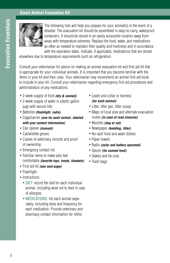### **Small Animal Evacuation Kit**



The following lists will help you prepare for your animal(s) in the event of a disaster. The evacuation kit should be assembled in easy-to-carry, waterproof containers. It should be stored in an easily accessible location away from areas with temperature extremes. Replace the food, water, and medications as often as needed to maintain their quality and freshness and in accordance with the expiration dates. Indicate, if applicable, medications that are stored

elsewhere due to temperature requirements such as refrigeration.

Consult your veterinarian for advice on making an animal evacuation kit and first aid kit that is appropriate for your individual animals. It is important that you become familiar with the items in your kit and their uses. Your veterinarian may recommend an animal first aid book to include in your kit. Consult your veterinarian regarding emergency first aid procedures and administration of any medications.

- 2-week supply of food *(dry & canned)*
- 2-week supply of water in plastic gallon jugs with secure lids
- Batteries *(flashlight, radio)*
- Cage/carrier *(one for each animal, labeled with your contact information)*
- Can opener *(manual)*
- Cat/wildlife gloves
- Copies of veterinary records and proof of ownership
- Emergency contact list
- Familiar items to make pets feel comfortable *(favorite toys, treats, blankets)*
- First aid kit *(see next page)*
- Flashlight
- Instructions
	- DIFT: record the diet for each individual animal, including what not to feed in case of allergies.
	- MEDICATIONS: list each animal separately, including dose and frequency for each medication. Provide veterinary and pharmacy contact information for refills.
- Leash and collar or harness *(for each animal)*
- Litter, litter pan, litter scoop
- Maps of local area and alternate evacuation routes *(in case of road closures)*
- Muzzles *(dog or cat)*
- Newspaper *(bedding, litter)*
- No-spill food and water dishes
- Paper towels
- Radio *(solar and battery operated)*
- Spoon *(for canned food)*
- Stakes and tie-outs
- Trash bags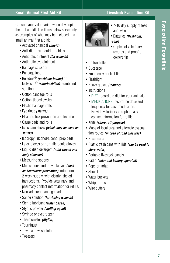### **Small Animal First Aid Kit Livestock Evacuation Kit**

Consult your veterinarian when developing the first aid kit. The items below serve only as examples of what may be included in a small animal first aid kit.

- Activated charcoal *(liquid)*
- Anti-diarrheal liquid or tablets
- Antibiotic ointment *(for wounds)*
- Antibiotic eye ointment
- Bandage scissors
- Bandage tape
- Betadine® *(povidone-iodine)* or Nolvasan® *(chlorhexidine)*, scrub and solution
- Cotton bandage rolls
- Cotton-tipped swabs
- Elastic bandage rolls
- Eye rinse *(sterile)*
- Flea and tick prevention and treatment
- Gauze pads and rolls
- Ice cream sticks *(which may be used as splints)*
- Isopropyl alcohol/alcohol prep pads
- Latex gloves or non-allergenic gloves
- Liquid dish detergent *(mild wound and body cleanser)*
- Measuring spoons
- Medications and preventatives *(such as heartworm prevention)*, minimum 2-week supply, with clearly labeled instructions. Provide veterinary and pharmacy contact information for refills.
- Non-adherent bandage pads
- Saline solution *(for rinsing wounds)*
- Sterile lubricant *(water based)*
- Styptic powder *(clotting agent)*
- Syringe or eyedropper
- Thermometer *(digital)*
- Tourniquet
- Towel and washcloth
- Tweezers



- 7-10 day supply of feed and water
- Batteries *(flashlight, radio)*
- Copies of veterinary records and proof of ownership
- Cotton halter
- Duct tape
- Emergency contact list
- Flashlight
- Heavy gloves *(leather)*
- Instructions
	- DIET: record the diet for your animals.
	- MEDICATIONS: record the dose and frequency for each medication. Provide veterinary and pharmacy contact information for refills.
- Knife *(sharp, all-purpose)*
- Maps of local area and alternate evacuation routes *(in case of road closures)*
- Nose leads
- Plastic trash cans with lids *(can be used to store water)*
- Portable livestock panels
- Radio *(solar and battery operated)*
- Rope or lariat
- Shovel
- Water buckets
- Whip, prods
- Wire cutters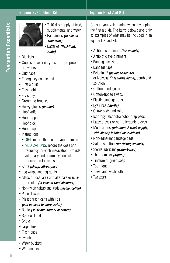### **Equine Evacuation Kit Equine First Aid Kit**



- 7-10 day supply of feed. supplements, and water • Bandannas *(to use as* 
	- *blindfolds)*
	- Batteries *(flashlight, radio)*
- Blankets
- Copies of veterinary records and proof of ownership
- Duct tape
- Emergency contact list
- First aid kit
- Flashlight
- Fly spray
- Grooming brushes
- Heavy gloves *(leather)*
- Hoof knife
- Hoof nippers
- Hoof pick
- Hoof rasp
- Instructions
	- DIET: record the diet for your animals.
	- MEDICATIONS: record the dose and frequency for each medication. Provide veterinary and pharmacy contact information for refills.
- Knife *(sharp, all-purpose)*
- Leg wraps and leg quilts
- Maps of local area and alternate evacuation routes *(in case of road closures)*
- Non-nylon halters and leads *(leather/cotton)*
- Paper towels
- Plastic trash cans with lids *(can be used to store water)*
- Radio *(solar and battery operated)*
- Rope or lariat
- Shovel
- Tarpaulins
- Trash bags
- Twitch
- Water buckets
- Wire cutters

Consult your veterinarian when developing the first aid kit. The items below serve only as examples of what may be included in an equine first aid kit.

- Antibiotic ointment *(for wounds)*
- Antibiotic eye ointment
- Bandage scissors
- Bandage tape
- Betadine® *(povidone-iodine)* or Nolvasan® *(chlorhexidine)*, scrub and solution
- Cotton bandage rolls
- Cotton-tipped swabs
- Elastic bandage rolls
- Eye rinse *(sterile)*
- Gauze pads and rolls
- Isopropyl alcohol/alcohol prep pads
- Latex gloves or non-allergenic gloves
- Medications *(minimum 2 week supply, with clearly labeled instructions)*
- Non-adherent bandage pads
- Saline solution *(for rinsing wounds)*
- Sterile lubricant *(water-based)*
- Thermometer *(digital)*
- Tincture of green soap
- Tourniquet
- Towel and washcloth
- Tweezers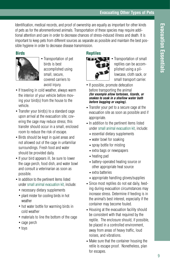9

### **Evacuating Other Types of Pets**

Identification, medical records, and proof of ownership are equally as important for other kinds of pets as for the aforementioned animals. Transportation of these species may require additional attention and care in order to decrease chances of stress-induced illness and death. It is important to keep pets from different sources as separate as possible and maintain the best possible hygiene in order to decrease disease transmission.

### **Birds**



• Transportation of pet birds is best accomplished using small, secure, covered carriers to avoid injury.

- If traveling in cold weather, always warm the interior of your vehicle before moving your bird(s) from the house to the vehicle.
- Transfer your bird(s) to a standard cage upon arrival at the evacuation site; covering the cage may reduce stress; this transfer should occur in a small, enclosed room to reduce the risk of escape.
- Birds should be kept in quiet areas and not allowed out of the cage in unfamiliar surroundings. Fresh food and water should be provided daily.
- If your bird appears ill, be sure to lower the cage perch, food dish, and water bowl and consult a veterinarian as soon as possible.
- In addition to the pertinent items listed under small animal evacuation kit, include:
	- necessary dietary supplements
	- plant mister for cooling birds in hot weather
	- hot water bottle for warming birds in cold weather
	- materials to line the bottom of the cage
	- cage perch
	- toys

### **Reptiles**



- Transportation of small reptiles can be accomplished using a pillowcase, cloth sack, or small transport carrier.
- If possible, promote defecation before transporting the animal *(for example allow tortoises, lizards, or snakes to soak in a shallow water bath before bagging or caging).*
- Transfer your pet to a secure cage at the evacuation site as soon as possible and if appropriate.
- In addition to the pertinent items listed under small animal evacuation kit, include:
	- essential dietary supplements
	- water bowl for soaking
	- spray bottle for misting
	- extra bags or newspapers
	- heating pad
	- battery-operated heating source or other appropriate heat source
	- extra batteries
	- appropriate handling gloves/supplies
- Since most reptiles do not eat daily, feeding during evacuation circumstances may increase stress. Determine if feeding is in the animal's best interest, especially if the container may become fouled.
- Housing at the evacuation facility should be consistent with that required by the reptile. The enclosure should, if possible, be placed in a controlled environment, away from areas of heavy traffic, loud noises, and vibrations.
- Make sure that the container housing the retile is escape proof. Nonetheless, plan for escapes.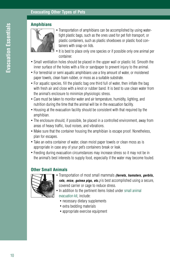### **Amphibians**



- Transportation of amphibians can be accomplished by using watertight plastic bags, such as the ones used for pet fish transport, or plastic containers, such as plastic shoeboxes or plastic food containers with snap-on lids.
- It is best to place only one species or if possible only one animal per container.
- Small ventilation holes should be placed in the upper wall or plastic lid. Smooth the inner surface of the holes with a file or sandpaper to prevent injury to the animal.
- For terrestrial or semi aquatic amphibians use a tiny amount of water, or moistened paper towels, clean foam rubber, or moss as a suitable substrate.
- For aquatic species, fill the plastic bag one third full of water, then inflate the bag with fresh air and close with a knot or rubber band. It is best to use clean water from the animal's enclosure to minimize physiologic stress.
- Care must be taken to monitor water and air temperature, humidity, lighting, and nutrition during the time that the animal will be in the evacuation facility.
- Housing at the evacuation facility should be consistent with that required by the amphibian.
- The enclosure should, if possible, be placed in a controlled environment, away from areas of heavy traffic, loud noises, and vibrations.
- Make sure that the container housing the amphibian is escape proof. Nonetheless, plan for escapes.
- Take an extra container of water, clean moist paper towels or clean moss as is appropriate in case any of your pet's containers break or leak.
- Feeding during evacuation circumstances may increase stress so it may not be in the animal's best interests to supply food, especially if the water may become fouled.

### **Other Small Animals**



- Transportation of most small mammals *(ferrets, hamsters, gerbils, rats, mice, guinea pigs, etc.)* is best accomplished using a secure, covered carrier or cage to reduce stress.
- In addition to the pertinent items listed under small animal evacuation kit, include:
	- necessary dietary supplements
	- extra bedding materials
	- appropriate exercise equipment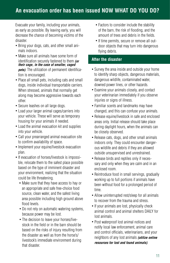Evacuate your family, including your animals, as early as possible. By leaving early, you will decrease the chance of becoming victims of the disaster.

- Bring your dogs, cats, and other small animals indoors.
- Make sure all animals have some form of identification securely fastened to them *(or their cage, in the case of smaller, caged pets)*. The utilization of permanent identification is encouraged.
- Place all small pets, including cats and small dogs, inside individual transportable carriers. When stressed, animals that normally get along may become aggressive towards each other.
- Secure leashes on all large dogs.
- Load your larger animal cages/carriers into your vehicle. These will serve as temporary housing for your animals if needed.
- Load the animal evacuation kit and supplies into your vehicle.
- Call your prearranged animal evacuation site to confirm availability of space.
- Implement your equine/livestock evacuation plan.
- If evacuation of horses/livestock is impossible, relocate them to the safest place possible based on the type of imminent disaster and your environment, realizing that the situation could be life threatening.
	- Make sure that they have access to hay or an appropriate and safe free-choice food source, clean water, and the safest living area possible including high ground above flood levels.
	- Do not rely on automatic watering systems, because power may be lost.
	- The decision to leave your horses/livestock in the field or in the barn should be based on the risks of injury resulting from the disaster as well as from the horse's/ livestock's immediate environment during that disaster.
- Factors to consider include the stability of the barn, the risk of flooding, and the amount of trees and debris in the fields.
- If time permits, secure or remove all outdoor objects that may turn into dangerous flying debris.

### **After the disaster**

- Survey the area inside and outside your home to identify sharp objects, dangerous materials, dangerous wildlife, contaminated water, downed power lines, or other hazards.
- Examine your animals closely, and contact your veterinarian immediately if you observe injuries or signs of illness.
- Familiar scents and landmarks may have changed, and this can confuse your animals.
- Release equine/livestock in safe and enclosed areas only. Initial release should take place during daylight hours, when the animals can be closely observed.
- Release cats, dogs, and other small animals indoors only. They could encounter dangerous wildlife and debris if they are allowed outside unsupervised and unrestrained.
- Release birds and reptiles only if necessary and only when they are calm and in an enclosed room.
- Reintroduce food in small servings, gradually working up to full portions if animals have been without food for a prolonged period of time.
- Allow uninterrupted rest/sleep for all animals to recover from the trauma and stress.
- If your animals are lost, physically check animal control and animal shelters DAILY for lost animals.
- Post waterproof lost animal notices and notify local law enforcement, animal care and control officials, veterinarians, and your neighbors of any lost animals *(utilize online resources for lost and found animals)*.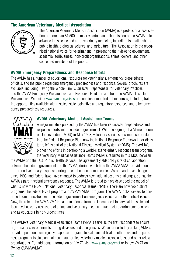### **The American Veterinary Medical Association**



The American Veterinary Medical Association (AVMA) is a professional association of more than 81,500 member veterinarians. The mission of the AVMA is to advance the science and art of veterinary medicine, including its relationship to public health, biological science, and agriculture. The Association is the recognized national voice for veterinarians in presenting their views to government, academia, agribusiness, non-profit organizations, animal owners, and other concerned members of the public.

### **AVMA Emergency Preparedness and Response Efforts**

The AVMA has a number of educational resources for veterinarians, emergency preparedness officials, and the public regarding emergency preparedness and response. Several brochures are available, including Saving the Whole Family, Disaster Preparedness for Veterinary Practices, and the AVMA Emergency Preparedness and Response Guide. In addition, the AVMA's Disaster Preparedness Web site (www.avma.org/disaster) contains a multitude of resources, including training opportunities available within states, state legislative and regulatory resources, and other emergency preparedness resources.



### **AVMA Veterinary Medical Assistance Teams**

A major initiative pursued by the AVMA has been its disaster preparedness and response efforts with the federal government. With the signing of a Memorandum of Understanding (MOU) in May 1993, veterinary services became incorporated into the Federal Response Plan, now the National Response Framework, for disaster relief as part of the National Disaster Medical System (NDMS). The AVMA's pioneering efforts in developing a world-class veterinary response team program, the Veterinary Medical Assistance Teams (VMAT), resulted in this MOU between

the AVMA and the U.S. Public Health Service. The agreement yielded 14 years of collaboration between the federal government and the AVMA, during which time the AVMA VMAT provided onthe-ground veterinary response during times of national emergencies. As our world has changed since 1993, and federal laws have changed to address new national security challenges, so has the AVMA's part in federal emergency response. The AVMA is proud to have developed the model of what is now the NDMS National Veterinary Response Teams (NVRT). There are now two distinct programs, the federal NVRT program and AVMA's VMAT program. The AVMA looks forward to continued communication with the federal government on emergency issues and other critical issues. Now, the role of the AVMA VMATs has transitioned from the federal level to serve at the state and local level as early assessors of animal and veterinary medical infrastructure during emergencies and as educators in non-urgent times.

The AVMA's Veterinary Medical Assistance Teams (VMAT) serve as the first responders to ensure high-quality care of animals during disasters and emergencies. When requested by a state, VMATs provide operational emergency response programs to state animal health authorities and preparedness programs to state animal health authorities, veterinary medical associations, and other relevant organizations. For additional information on VMAT, visit www.avma.org/vmat or follow VMAT on Twitter @AVMAVMAT.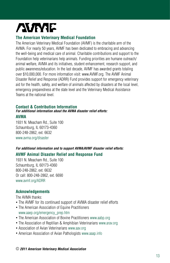# **AVIME**

### **The American Veterinary Medical Foundation**

The American Veterinary Medical Foundation (AVMF) is the charitable arm of the AVMA. For nearly 50 years, AVMF has been dedicated to embracing and advancing the well-being and medical care of animal. Charitable contributions and support to the Foundation help veterinarians help animals. Funding priorities are humane outreach/ animal welfare, AVMA and its initiatives, student enhancement, research support, and public awareness/education. In the last decade, AVMF has awarded grants totaling over \$10,000,000. For more information visit: www.AVMF.org. The AVMF Animal Disaster Relief and Response (ADRR) Fund provides support for emergency veterinary aid for the health, safety, and welfare of animals affected by disasters at the local level, emergency preparedness at the state level and the Veterinary Medical Assistance Teams at the national level.

### **Contact & Contribution Information**

*For additional information about the AVMA disaster relief efforts:*

### **AVMA**

1931 N. Meacham Rd., Suite 100 Schaumburg, IL 60173-4360 800-248-2862, ext. 6632 www.avma.org/disaster

### *For additional information and to support AVMA/AVMF disaster relief efforts:* **AVMF Animal Disaster Relief and Response Fund**

1931 N. Meacham Rd., Suite 100 Schaumburg, IL 60173-4360 800-248-2862, ext. 6632 Or call: 800-248-2862, ext. 6690 www.avmf.org/ADRR

### **Acknowledgements**

The AVMA thanks:

- The AVMF for its continued support of AVMA disaster relief efforts
- The American Association of Equine Practitioners www.aaep.org/emergency\_prep.htm
- The American Association of Bovine Practitioners www.aabp.org
- The Association of Reptilian & Amphibian Veterinarians www.arav.org
- Association of Avian Veterinarians www.aav.org
- American Association of Avian Pathologists www.aaap.info